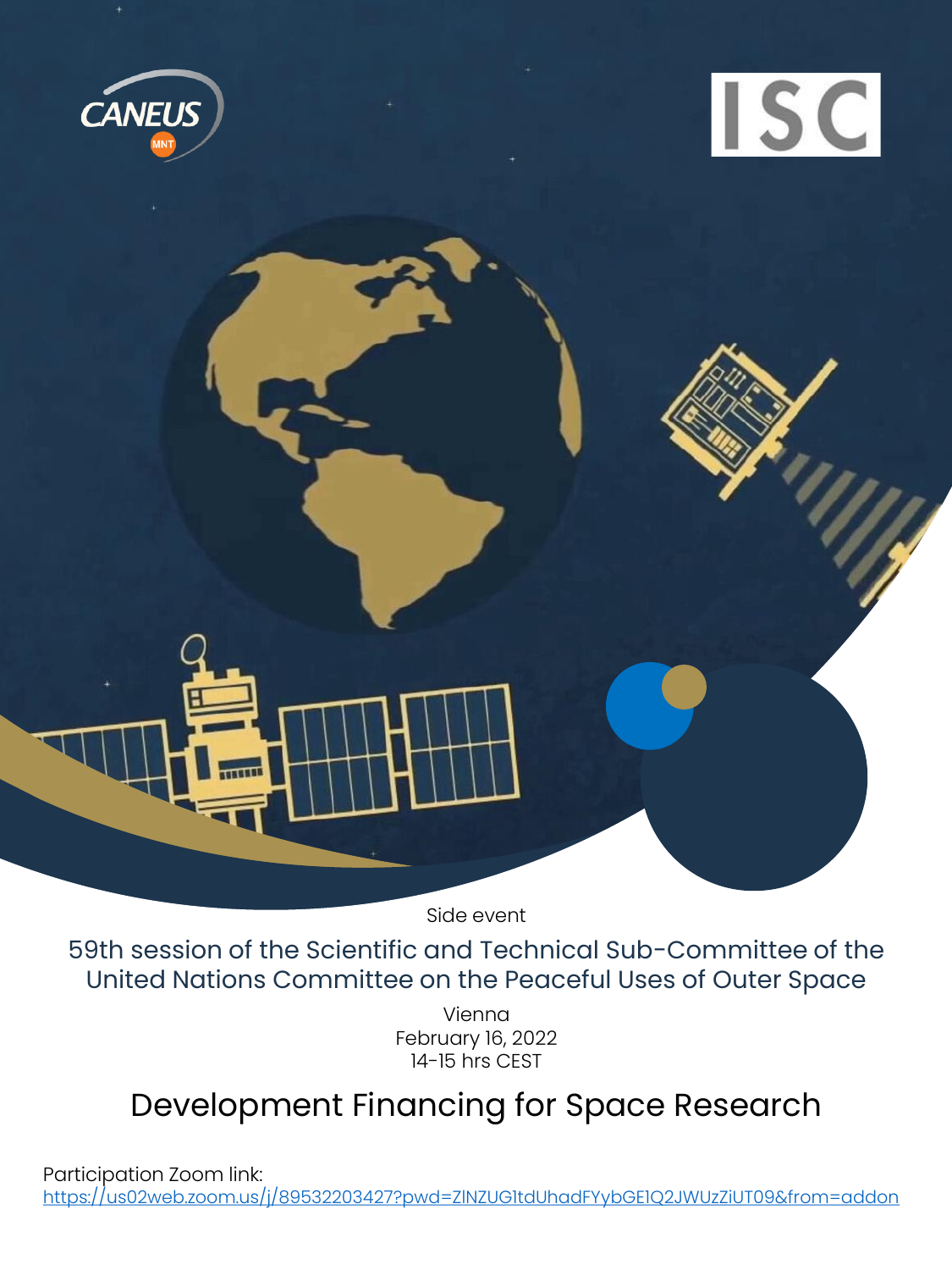



Side event

59th session of the Scientific and Technical Sub-Committee of the United Nations Committee on the Peaceful Uses of Outer Space

> Vienna February 16, 2022 14-15 hrs CEST

## Development Financing for Space Research

Participation Zoom link: <https://us02web.zoom.us/j/89532203427?pwd=ZlNZUG1tdUhadFYybGE1Q2JWUzZiUT09&from=addon>